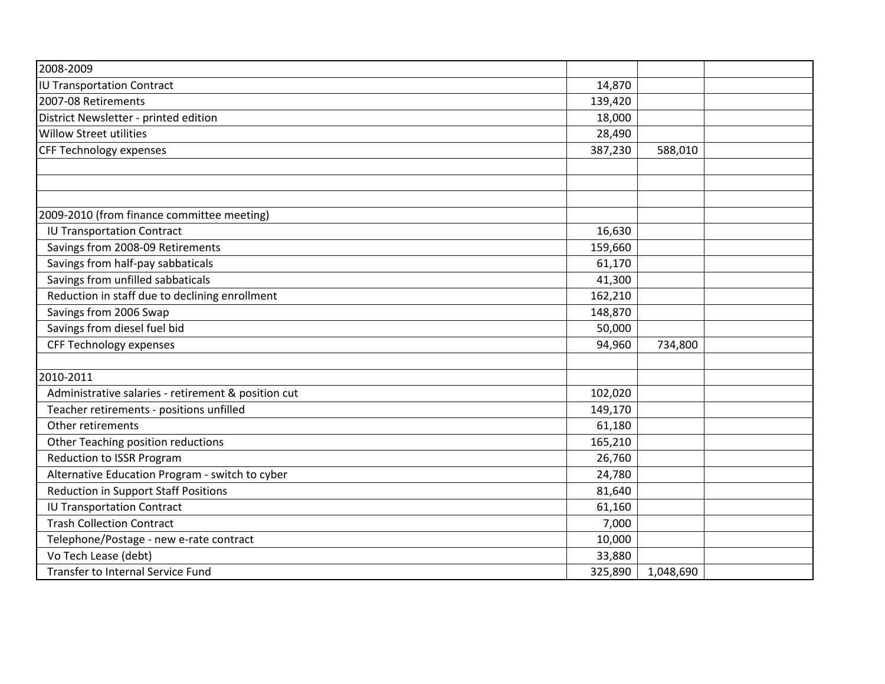| 2008-2009                                           |         |           |  |
|-----------------------------------------------------|---------|-----------|--|
| <b>IU Transportation Contract</b>                   | 14,870  |           |  |
| 2007-08 Retirements                                 | 139,420 |           |  |
| District Newsletter - printed edition               | 18,000  |           |  |
| <b>Willow Street utilities</b>                      | 28,490  |           |  |
| <b>CFF Technology expenses</b>                      | 387,230 | 588,010   |  |
|                                                     |         |           |  |
|                                                     |         |           |  |
|                                                     |         |           |  |
| 2009-2010 (from finance committee meeting)          |         |           |  |
| <b>IU Transportation Contract</b>                   | 16,630  |           |  |
| Savings from 2008-09 Retirements                    | 159,660 |           |  |
| Savings from half-pay sabbaticals                   | 61,170  |           |  |
| Savings from unfilled sabbaticals                   | 41,300  |           |  |
| Reduction in staff due to declining enrollment      | 162,210 |           |  |
| Savings from 2006 Swap                              | 148,870 |           |  |
| Savings from diesel fuel bid                        | 50,000  |           |  |
| <b>CFF Technology expenses</b>                      | 94,960  | 734,800   |  |
|                                                     |         |           |  |
| 2010-2011                                           |         |           |  |
| Administrative salaries - retirement & position cut | 102,020 |           |  |
| Teacher retirements - positions unfilled            | 149,170 |           |  |
| Other retirements                                   | 61,180  |           |  |
| Other Teaching position reductions                  | 165,210 |           |  |
| <b>Reduction to ISSR Program</b>                    | 26,760  |           |  |
| Alternative Education Program - switch to cyber     | 24,780  |           |  |
| <b>Reduction in Support Staff Positions</b>         | 81,640  |           |  |
| <b>IU Transportation Contract</b>                   | 61,160  |           |  |
| <b>Trash Collection Contract</b>                    | 7,000   |           |  |
| Telephone/Postage - new e-rate contract             | 10,000  |           |  |
| Vo Tech Lease (debt)                                | 33,880  |           |  |
| Transfer to Internal Service Fund                   | 325,890 | 1,048,690 |  |